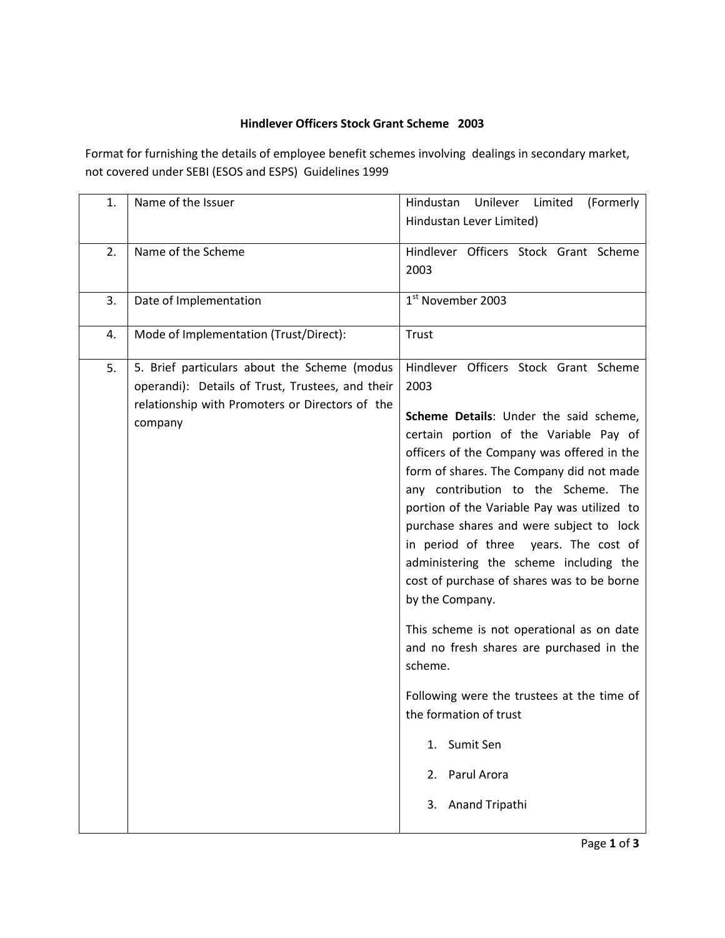## **Hindlever Officers Stock Grant Scheme 2003**

Format for furnishing the details of employee benefit schemes involving dealings in secondary market, not covered under SEBI (ESOS and ESPS) Guidelines 1999

| 1. | Name of the Issuer                                                                                                                                             | Hindustan<br>Unilever<br>Limited<br>(Formerly<br>Hindustan Lever Limited)                                                                                                                                                                                                                                                                                                                                                                                                                                                                                                                                                                                                                                                                                     |
|----|----------------------------------------------------------------------------------------------------------------------------------------------------------------|---------------------------------------------------------------------------------------------------------------------------------------------------------------------------------------------------------------------------------------------------------------------------------------------------------------------------------------------------------------------------------------------------------------------------------------------------------------------------------------------------------------------------------------------------------------------------------------------------------------------------------------------------------------------------------------------------------------------------------------------------------------|
| 2. | Name of the Scheme                                                                                                                                             | Hindlever Officers Stock Grant Scheme<br>2003                                                                                                                                                                                                                                                                                                                                                                                                                                                                                                                                                                                                                                                                                                                 |
| 3. | Date of Implementation                                                                                                                                         | 1 <sup>st</sup> November 2003                                                                                                                                                                                                                                                                                                                                                                                                                                                                                                                                                                                                                                                                                                                                 |
| 4. | Mode of Implementation (Trust/Direct):                                                                                                                         | Trust                                                                                                                                                                                                                                                                                                                                                                                                                                                                                                                                                                                                                                                                                                                                                         |
| 5. | 5. Brief particulars about the Scheme (modus<br>operandi): Details of Trust, Trustees, and their<br>relationship with Promoters or Directors of the<br>company | Hindlever Officers Stock Grant Scheme<br>2003<br>Scheme Details: Under the said scheme,<br>certain portion of the Variable Pay of<br>officers of the Company was offered in the<br>form of shares. The Company did not made<br>any contribution to the Scheme. The<br>portion of the Variable Pay was utilized to<br>purchase shares and were subject to lock<br>in period of three years. The cost of<br>administering the scheme including the<br>cost of purchase of shares was to be borne<br>by the Company.<br>This scheme is not operational as on date<br>and no fresh shares are purchased in the<br>scheme.<br>Following were the trustees at the time of<br>the formation of trust<br>Sumit Sen<br>1.<br>Parul Arora<br>2.<br>Anand Tripathi<br>3. |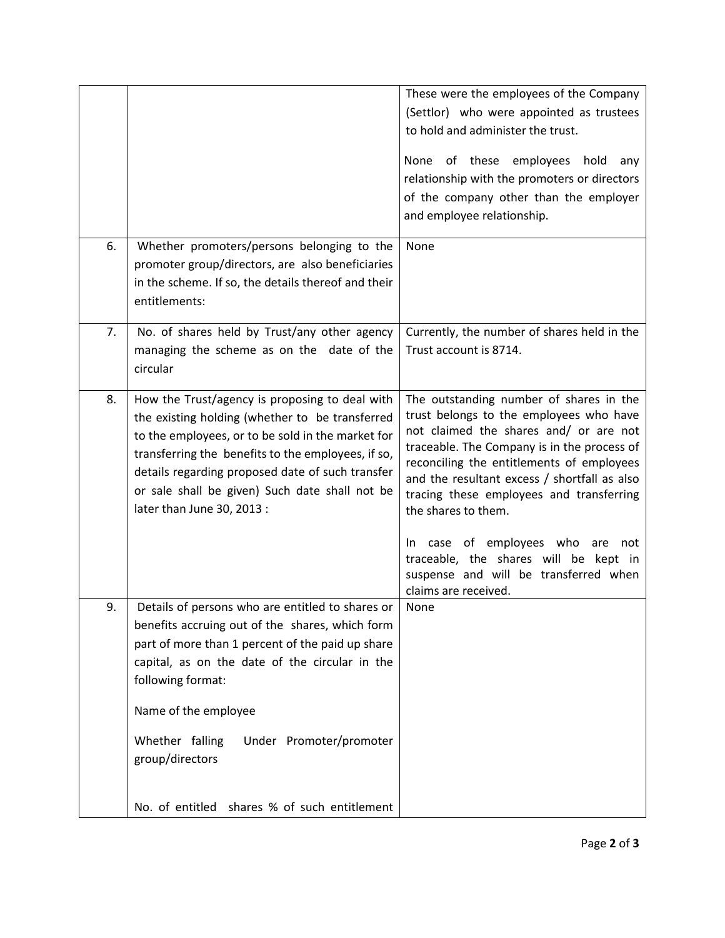|    |                                                                                                                                                                                                                                                                                                                                                  | These were the employees of the Company<br>(Settlor) who were appointed as trustees<br>to hold and administer the trust.<br>None of these employees hold<br>any<br>relationship with the promoters or directors<br>of the company other than the employer<br>and employee relationship.                                                                                                                                                                                                         |
|----|--------------------------------------------------------------------------------------------------------------------------------------------------------------------------------------------------------------------------------------------------------------------------------------------------------------------------------------------------|-------------------------------------------------------------------------------------------------------------------------------------------------------------------------------------------------------------------------------------------------------------------------------------------------------------------------------------------------------------------------------------------------------------------------------------------------------------------------------------------------|
| 6. | Whether promoters/persons belonging to the<br>promoter group/directors, are also beneficiaries<br>in the scheme. If so, the details thereof and their<br>entitlements:                                                                                                                                                                           | None                                                                                                                                                                                                                                                                                                                                                                                                                                                                                            |
| 7. | No. of shares held by Trust/any other agency<br>managing the scheme as on the date of the<br>circular                                                                                                                                                                                                                                            | Currently, the number of shares held in the<br>Trust account is 8714.                                                                                                                                                                                                                                                                                                                                                                                                                           |
| 8. | How the Trust/agency is proposing to deal with<br>the existing holding (whether to be transferred<br>to the employees, or to be sold in the market for<br>transferring the benefits to the employees, if so,<br>details regarding proposed date of such transfer<br>or sale shall be given) Such date shall not be<br>later than June 30, 2013 : | The outstanding number of shares in the<br>trust belongs to the employees who have<br>not claimed the shares and/ or are not<br>traceable. The Company is in the process of<br>reconciling the entitlements of employees<br>and the resultant excess / shortfall as also<br>tracing these employees and transferring<br>the shares to them.<br>In case of employees who<br>are<br>not<br>traceable, the shares will be kept in<br>suspense and will be transferred when<br>claims are received. |
| 9. | Details of persons who are entitled to shares or<br>benefits accruing out of the shares, which form<br>part of more than 1 percent of the paid up share<br>capital, as on the date of the circular in the<br>following format:<br>Name of the employee<br>Whether falling<br>Under Promoter/promoter<br>group/directors                          | <b>None</b>                                                                                                                                                                                                                                                                                                                                                                                                                                                                                     |
|    | No. of entitled shares % of such entitlement                                                                                                                                                                                                                                                                                                     |                                                                                                                                                                                                                                                                                                                                                                                                                                                                                                 |